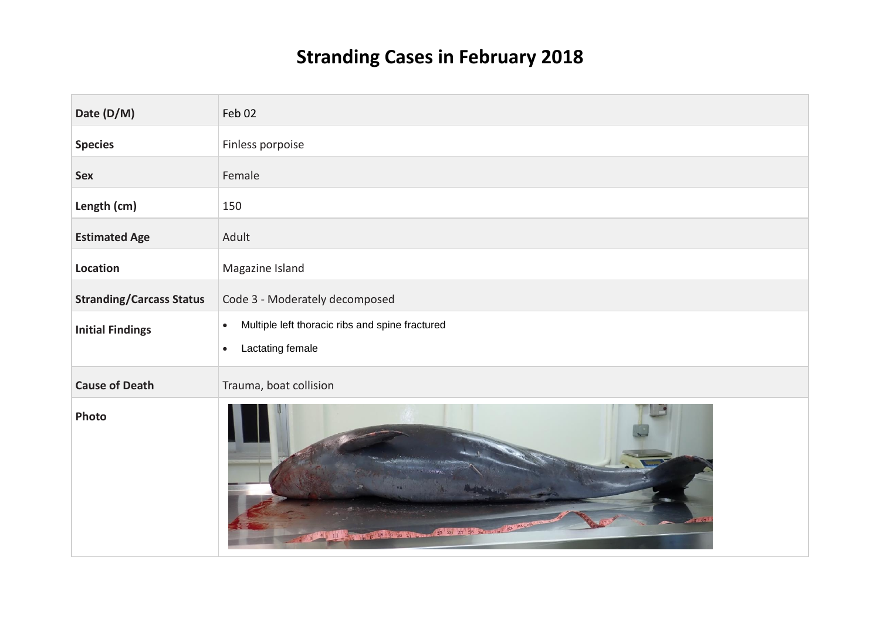## **Stranding Cases in February 2018**

| Date (D/M)                      | Feb 02                                                       |
|---------------------------------|--------------------------------------------------------------|
| <b>Species</b>                  | Finless porpoise                                             |
| <b>Sex</b>                      | Female                                                       |
| Length (cm)                     | 150                                                          |
| <b>Estimated Age</b>            | Adult                                                        |
| Location                        | Magazine Island                                              |
| <b>Stranding/Carcass Status</b> | Code 3 - Moderately decomposed                               |
| <b>Initial Findings</b>         | Multiple left thoracic ribs and spine fractured<br>$\bullet$ |
|                                 | Lactating female<br>$\bullet$                                |
| <b>Cause of Death</b>           | Trauma, boat collision                                       |
| Photo                           | $33 - 34$<br>26 27 28 28                                     |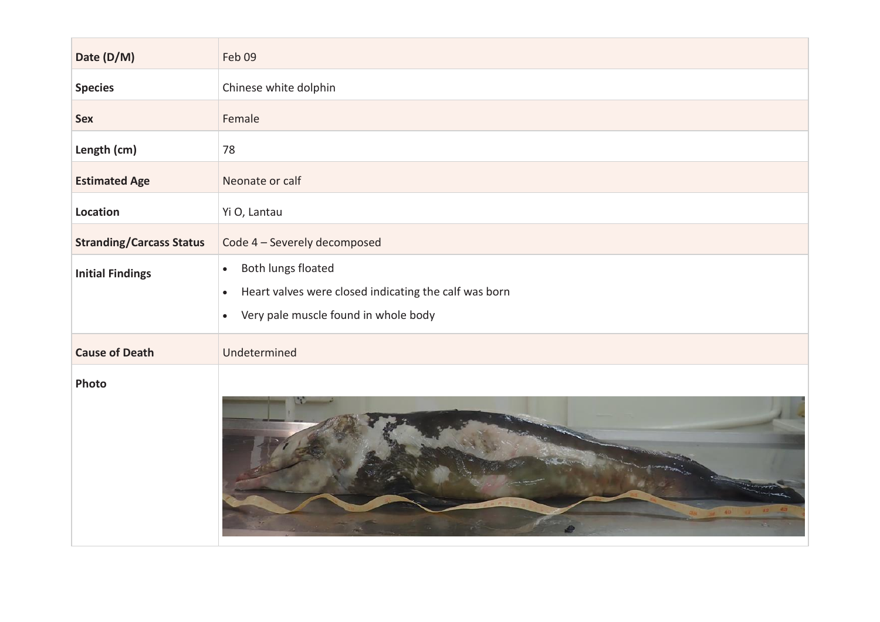| Date (D/M)                      | Feb 09                                                                                                                                                     |
|---------------------------------|------------------------------------------------------------------------------------------------------------------------------------------------------------|
| <b>Species</b>                  | Chinese white dolphin                                                                                                                                      |
| <b>Sex</b>                      | Female                                                                                                                                                     |
| Length (cm)                     | 78                                                                                                                                                         |
| <b>Estimated Age</b>            | Neonate or calf                                                                                                                                            |
| Location                        | Yi O, Lantau                                                                                                                                               |
| <b>Stranding/Carcass Status</b> | Code 4 - Severely decomposed                                                                                                                               |
| <b>Initial Findings</b>         | Both lungs floated<br>$\bullet$<br>Heart valves were closed indicating the calf was born<br>$\bullet$<br>Very pale muscle found in whole body<br>$\bullet$ |
| <b>Cause of Death</b>           | Undetermined                                                                                                                                               |
| Photo                           |                                                                                                                                                            |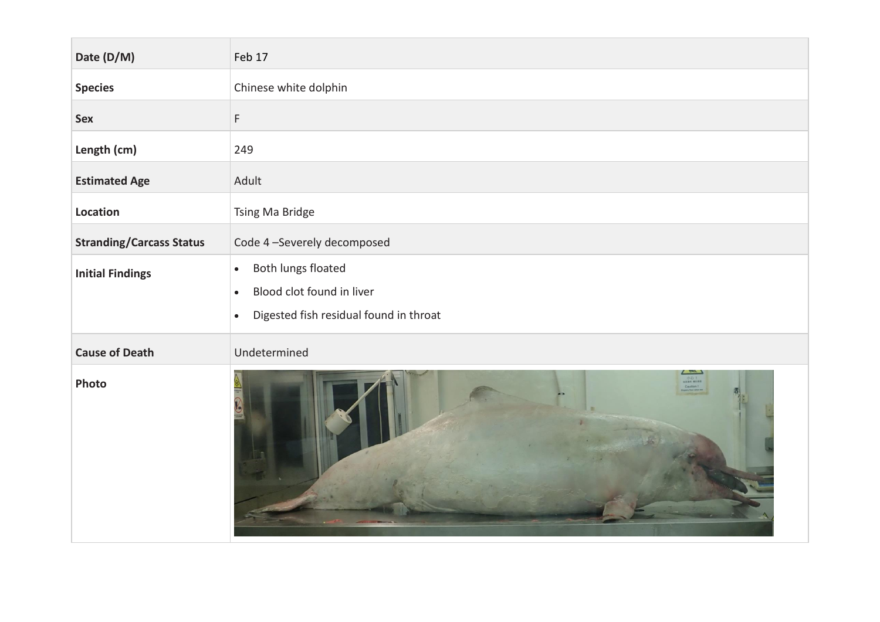| Date (D/M)                      | Feb 17                                                                                                                           |
|---------------------------------|----------------------------------------------------------------------------------------------------------------------------------|
| <b>Species</b>                  | Chinese white dolphin                                                                                                            |
| <b>Sex</b>                      | F                                                                                                                                |
| Length (cm)                     | 249                                                                                                                              |
| <b>Estimated Age</b>            | Adult                                                                                                                            |
| Location                        | Tsing Ma Bridge                                                                                                                  |
| <b>Stranding/Carcass Status</b> | Code 4-Severely decomposed                                                                                                       |
| <b>Initial Findings</b>         | Both lungs floated<br>$\bullet$<br>Blood clot found in liver<br>$\bullet$<br>Digested fish residual found in throat<br>$\bullet$ |
| <b>Cause of Death</b>           | Undetermined                                                                                                                     |
| Photo                           |                                                                                                                                  |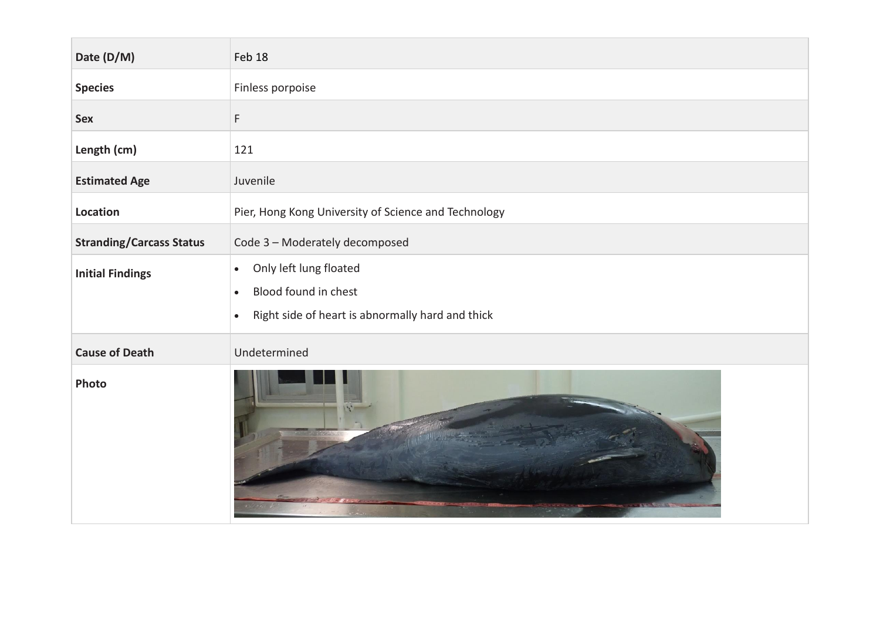| Date (D/M)                      | Feb 18                                                                                                                                    |
|---------------------------------|-------------------------------------------------------------------------------------------------------------------------------------------|
| <b>Species</b>                  | Finless porpoise                                                                                                                          |
| <b>Sex</b>                      | F                                                                                                                                         |
| Length (cm)                     | 121                                                                                                                                       |
| <b>Estimated Age</b>            | Juvenile                                                                                                                                  |
| Location                        | Pier, Hong Kong University of Science and Technology                                                                                      |
| <b>Stranding/Carcass Status</b> | Code 3 - Moderately decomposed                                                                                                            |
| <b>Initial Findings</b>         | Only left lung floated<br>$\bullet$<br>Blood found in chest<br>$\bullet$<br>Right side of heart is abnormally hard and thick<br>$\bullet$ |
| <b>Cause of Death</b>           | Undetermined                                                                                                                              |
| Photo                           |                                                                                                                                           |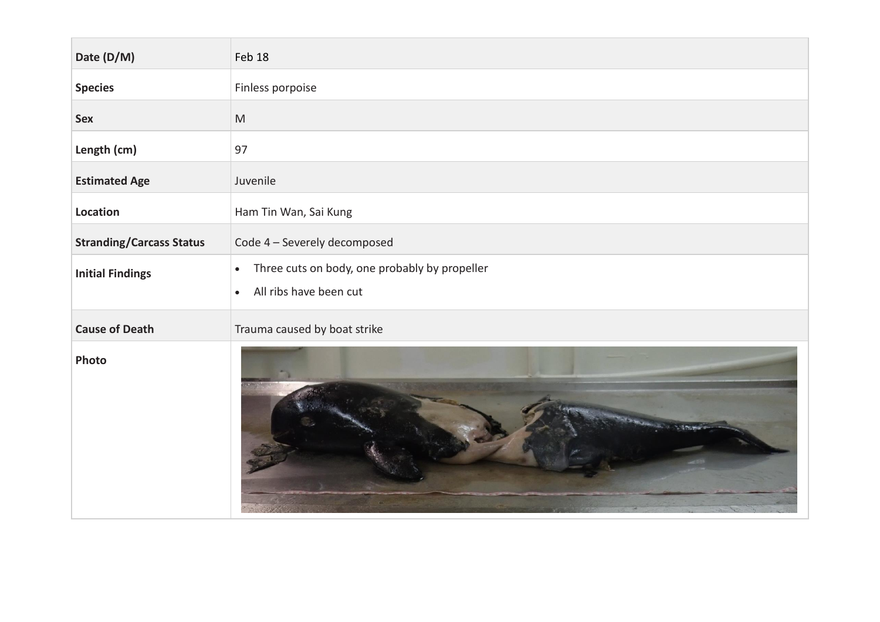| Date (D/M)                      | Feb 18                                                                                                     |
|---------------------------------|------------------------------------------------------------------------------------------------------------|
| <b>Species</b>                  | Finless porpoise                                                                                           |
| <b>Sex</b>                      | $\mathsf{M}% _{T}=\mathsf{M}_{T}\!\left( a,b\right) ,\ \mathsf{M}_{T}=\mathsf{M}_{T}\!\left( a,b\right) ,$ |
| Length (cm)                     | 97                                                                                                         |
| <b>Estimated Age</b>            | Juvenile                                                                                                   |
| Location                        | Ham Tin Wan, Sai Kung                                                                                      |
| <b>Stranding/Carcass Status</b> | Code 4 - Severely decomposed                                                                               |
| <b>Initial Findings</b>         | Three cuts on body, one probably by propeller<br>$\bullet$<br>All ribs have been cut<br>$\bullet$          |
| <b>Cause of Death</b>           | Trauma caused by boat strike                                                                               |
| Photo                           |                                                                                                            |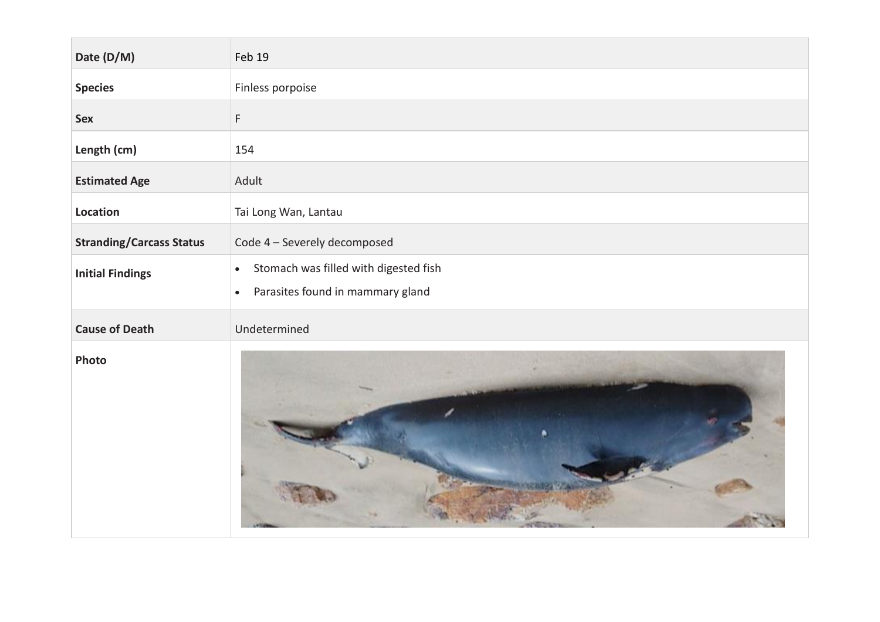| Date (D/M)                      | Feb 19                                                                                              |
|---------------------------------|-----------------------------------------------------------------------------------------------------|
| <b>Species</b>                  | Finless porpoise                                                                                    |
| <b>Sex</b>                      | F                                                                                                   |
| Length (cm)                     | 154                                                                                                 |
| <b>Estimated Age</b>            | Adult                                                                                               |
| Location                        | Tai Long Wan, Lantau                                                                                |
| <b>Stranding/Carcass Status</b> | Code 4 - Severely decomposed                                                                        |
| <b>Initial Findings</b>         | Stomach was filled with digested fish<br>$\bullet$<br>Parasites found in mammary gland<br>$\bullet$ |
| <b>Cause of Death</b>           | Undetermined                                                                                        |
| Photo                           |                                                                                                     |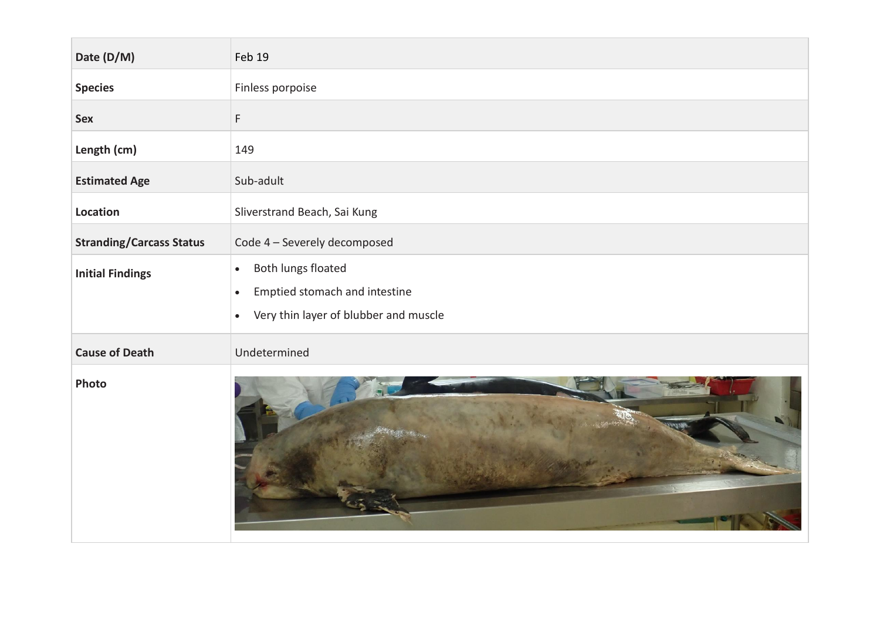| Date (D/M)                      | Feb 19                                                                                                                              |
|---------------------------------|-------------------------------------------------------------------------------------------------------------------------------------|
| <b>Species</b>                  | Finless porpoise                                                                                                                    |
| <b>Sex</b>                      | F                                                                                                                                   |
| Length (cm)                     | 149                                                                                                                                 |
| <b>Estimated Age</b>            | Sub-adult                                                                                                                           |
| Location                        | Sliverstrand Beach, Sai Kung                                                                                                        |
| <b>Stranding/Carcass Status</b> | Code 4 - Severely decomposed                                                                                                        |
| <b>Initial Findings</b>         | Both lungs floated<br>$\bullet$<br>Emptied stomach and intestine<br>$\bullet$<br>Very thin layer of blubber and muscle<br>$\bullet$ |
| <b>Cause of Death</b>           | Undetermined                                                                                                                        |
| Photo                           |                                                                                                                                     |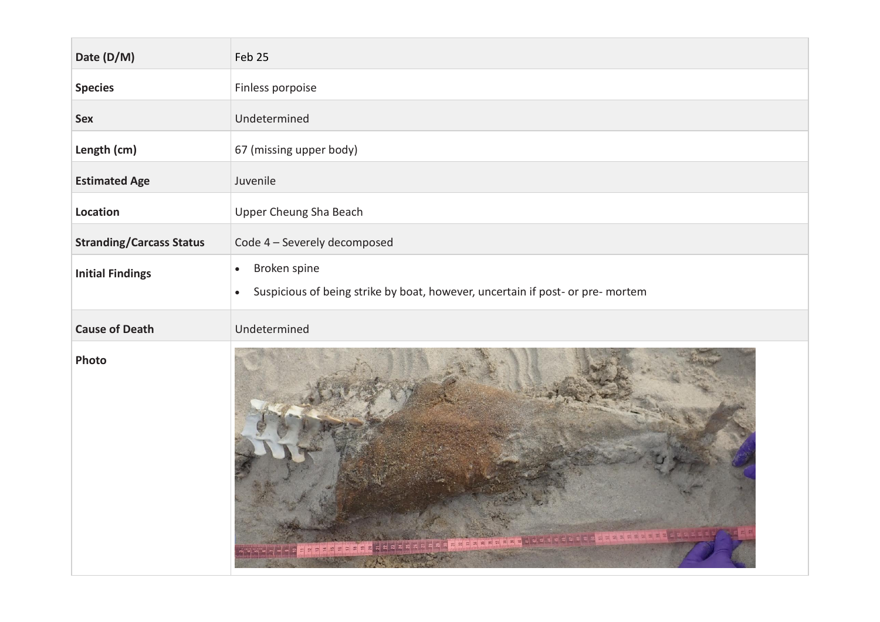| Date (D/M)                      | Feb 25                                                                                                                   |
|---------------------------------|--------------------------------------------------------------------------------------------------------------------------|
| <b>Species</b>                  | Finless porpoise                                                                                                         |
| <b>Sex</b>                      | Undetermined                                                                                                             |
| Length (cm)                     | 67 (missing upper body)                                                                                                  |
| <b>Estimated Age</b>            | Juvenile                                                                                                                 |
| Location                        | <b>Upper Cheung Sha Beach</b>                                                                                            |
| <b>Stranding/Carcass Status</b> | Code 4 - Severely decomposed                                                                                             |
| <b>Initial Findings</b>         | Broken spine<br>$\bullet$<br>Suspicious of being strike by boat, however, uncertain if post- or pre- mortem<br>$\bullet$ |
| <b>Cause of Death</b>           | Undetermined                                                                                                             |
| Photo                           |                                                                                                                          |